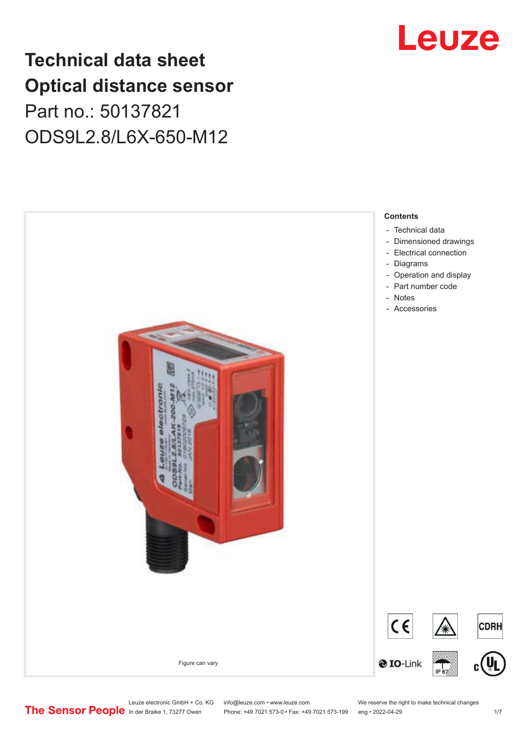# **Technical data sheet Optical distance sensor** Part no.: 50137821 ODS9L2.8/L6X-650-M12





Leuze electronic GmbH + Co. KG info@leuze.com • www.leuze.com We reserve the right to make technical changes<br> **The Sensor People** in der Braike 1, 73277 Owen Phone: +49 7021 573-0 • Fax: +49 7021 573-199 eng • 2022-04-29

Phone: +49 7021 573-0 • Fax: +49 7021 573-199 eng • 2022-04-29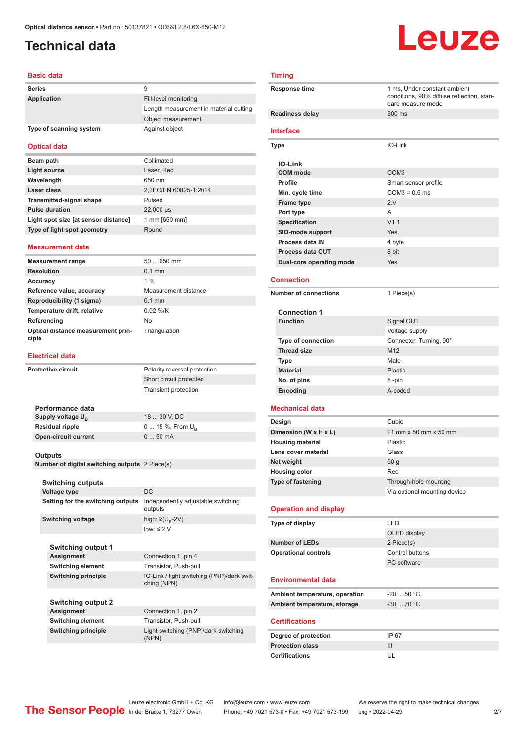### <span id="page-1-0"></span>**Technical data**

# Leuze

#### **Basic data**

| <b>Series</b>           | 9                                      |
|-------------------------|----------------------------------------|
| Application             | Fill-level monitoring                  |
|                         | Length measurement in material cutting |
|                         | Object measurement                     |
| Type of scanning system | Against object                         |

#### **Optical data**

| Beam path                            | Collimated             |
|--------------------------------------|------------------------|
| Light source                         | Laser, Red             |
| Wavelength                           | 650 nm                 |
| Laser class                          | 2, IEC/EN 60825-1:2014 |
| <b>Transmitted-signal shape</b>      | Pulsed                 |
| <b>Pulse duration</b>                | 22,000 µs              |
| Light spot size [at sensor distance] | 1 mm [650 mm]          |
| Type of light spot geometry          | Round                  |

#### **Measurement data**

| <b>Measurement range</b>                    | $50650$ mm           |
|---------------------------------------------|----------------------|
| <b>Resolution</b>                           | $0.1$ mm             |
| Accuracy                                    | $1\%$                |
| Reference value, accuracy                   | Measurement distance |
| Reproducibility (1 sigma)                   | $0.1$ mm             |
| Temperature drift, relative                 | $0.02$ %/K           |
| Referencing                                 | No                   |
| Optical distance measurement prin-<br>ciple | Triangulation        |

#### **Electrical data**

| <b>Protective circuit</b> |                                                | Polarity reversal protection                              |
|---------------------------|------------------------------------------------|-----------------------------------------------------------|
|                           |                                                | Short circuit protected                                   |
|                           |                                                | <b>Transient protection</b>                               |
|                           |                                                |                                                           |
|                           | Performance data                               |                                                           |
|                           | Supply voltage U <sub>B</sub>                  | 18  30 V, DC                                              |
|                           | <b>Residual ripple</b>                         | 0  15 %, From $U_{\rm B}$                                 |
|                           | <b>Open-circuit current</b>                    | 050mA                                                     |
|                           |                                                |                                                           |
|                           | Outputs                                        |                                                           |
|                           | Number of digital switching outputs 2 Piece(s) |                                                           |
|                           |                                                |                                                           |
|                           | <b>Switching outputs</b>                       |                                                           |
|                           | <b>Voltage type</b>                            | DC.                                                       |
|                           | Setting for the switching outputs              | Independently adjustable switching<br>outputs             |
|                           | <b>Switching voltage</b>                       | high: $\geq$ (U <sub>R</sub> -2V)                         |
|                           |                                                | $low: \leq 2$ V                                           |
|                           |                                                |                                                           |
|                           | <b>Switching output 1</b>                      |                                                           |
|                           | Assignment                                     | Connection 1, pin 4                                       |
|                           | <b>Switching element</b>                       | Transistor, Push-pull                                     |
|                           | <b>Switching principle</b>                     | IO-Link / light switching (PNP)/dark swit-<br>ching (NPN) |
|                           |                                                |                                                           |
|                           | <b>Switching output 2</b>                      |                                                           |
|                           | Assignment                                     | Connection 1, pin 2                                       |
|                           | <b>Switching element</b>                       | Transistor, Push-pull                                     |
|                           | <b>Switching principle</b>                     | Light switching (PNP)/dark switching<br>(NPN)             |

| <b>Timing</b>                                    |                                                                                                |  |
|--------------------------------------------------|------------------------------------------------------------------------------------------------|--|
| <b>Response time</b>                             | 1 ms, Under constant ambient<br>conditions, 90% diffuse reflection, stan-<br>dard measure mode |  |
| <b>Readiness delay</b>                           | 300 ms                                                                                         |  |
| Interface                                        |                                                                                                |  |
| Type                                             | IO-Link                                                                                        |  |
| <b>IO-Link</b>                                   |                                                                                                |  |
| <b>COM</b> mode                                  | COM <sub>3</sub>                                                                               |  |
| <b>Profile</b>                                   | Smart sensor profile                                                                           |  |
| Min. cycle time                                  | $COM3 = 0.5$ ms                                                                                |  |
| <b>Frame type</b>                                | 2.V                                                                                            |  |
| Port type                                        | A                                                                                              |  |
| <b>Specification</b>                             | V1.1                                                                                           |  |
| SIO-mode support                                 | Yes                                                                                            |  |
| Process data IN                                  | 4 byte                                                                                         |  |
| <b>Process data OUT</b>                          | 8 bit                                                                                          |  |
| Dual-core operating mode                         | Yes                                                                                            |  |
| <b>Connection</b>                                |                                                                                                |  |
| <b>Number of connections</b>                     | 1 Piece(s)                                                                                     |  |
|                                                  |                                                                                                |  |
| <b>Connection 1</b>                              |                                                                                                |  |
| <b>Function</b>                                  | Signal OUT                                                                                     |  |
|                                                  | Voltage supply                                                                                 |  |
| <b>Type of connection</b>                        | Connector, Turning, 90°                                                                        |  |
| <b>Thread size</b>                               | M12<br>Male                                                                                    |  |
| <b>Type</b><br><b>Material</b>                   | <b>Plastic</b>                                                                                 |  |
| No. of pins                                      | 5-pin                                                                                          |  |
| Encoding                                         | A-coded                                                                                        |  |
|                                                  |                                                                                                |  |
| Mechanical data                                  |                                                                                                |  |
| Design                                           | Cubic                                                                                          |  |
| Dimension (W x H x L)                            | 21 mm x 50 mm x 50 mm                                                                          |  |
| <b>Housing material</b>                          | Plastic                                                                                        |  |
| Lens cover material                              | Glass                                                                                          |  |
| Net weight<br><b>Housing color</b>               | 50 g<br>Red                                                                                    |  |
| <b>Type of fastening</b>                         | Through-hole mounting                                                                          |  |
|                                                  | Via optional mounting device                                                                   |  |
|                                                  |                                                                                                |  |
| <b>Operation and display</b>                     |                                                                                                |  |
| Type of display                                  | LED                                                                                            |  |
|                                                  | OLED display                                                                                   |  |
| <b>Number of LEDs</b>                            | 2 Piece(s)                                                                                     |  |
| <b>Operational controls</b>                      | Control buttons                                                                                |  |
|                                                  | PC software                                                                                    |  |
| <b>Environmental data</b>                        |                                                                                                |  |
| Ambient temperature, operation                   | $-2050 °C$                                                                                     |  |
| Ambient temperature, storage                     | $-30$ 70 °C                                                                                    |  |
| <b>Certifications</b>                            |                                                                                                |  |
|                                                  |                                                                                                |  |
| Degree of protection                             | IP 67                                                                                          |  |
| <b>Protection class</b><br><b>Certifications</b> | Ш<br>UL                                                                                        |  |
|                                                  |                                                                                                |  |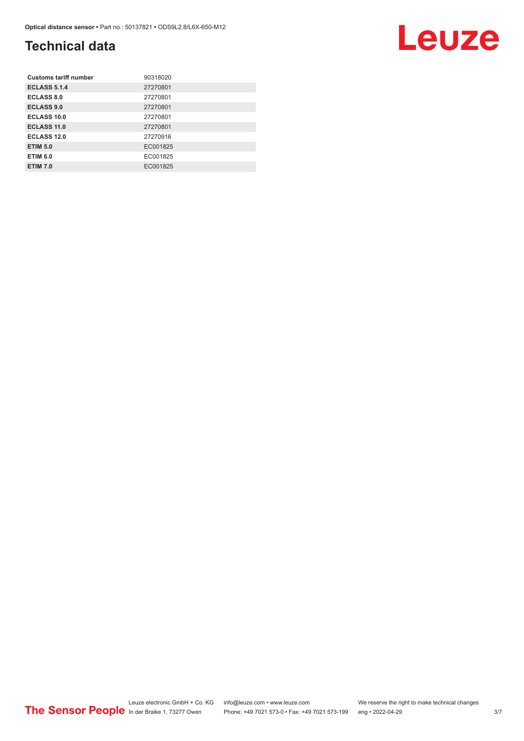#### **Technical data**

| <b>Customs tariff number</b> | 90318020 |
|------------------------------|----------|
| <b>ECLASS 5.1.4</b>          | 27270801 |
| <b>ECLASS 8.0</b>            | 27270801 |
| <b>ECLASS 9.0</b>            | 27270801 |
| <b>ECLASS 10.0</b>           | 27270801 |
| <b>ECLASS 11.0</b>           | 27270801 |
| <b>ECLASS 12.0</b>           | 27270916 |
| <b>ETIM 5.0</b>              | EC001825 |
| <b>ETIM 6.0</b>              | EC001825 |
| <b>ETIM 7.0</b>              | EC001825 |

Leuze electronic GmbH + Co. KG info@leuze.com • www.leuze.com We reserve the right to make technical changes In der Braike 1, 73277 Owen Phone: +49 7021 573-0 • Fax: +49 7021 573-199 eng • 2022-04-29 3/7

Leuze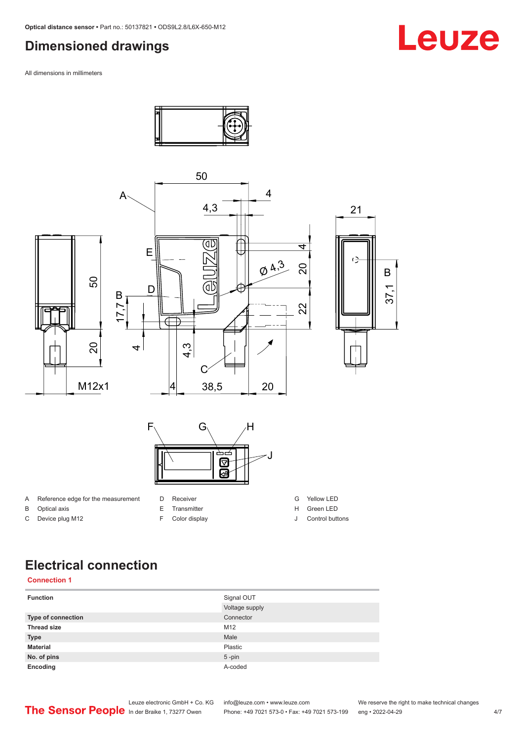#### <span id="page-3-0"></span>**Dimensioned drawings**

All dimensions in millimeters



C Device plug M12

F Color display

J Control buttons

#### **Electrical connection**

#### **Connection 1**

| <b>Function</b>    | Signal OUT     |
|--------------------|----------------|
|                    | Voltage supply |
| Type of connection | Connector      |
| <b>Thread size</b> | M12            |
| <b>Type</b>        | Male           |
| <b>Material</b>    | Plastic        |
| No. of pins        | $5$ -pin       |
| Encoding           | A-coded        |

Leuze electronic GmbH + Co. KG info@leuze.com • www.leuze.com We reserve the right to make technical changes<br>
The Sensor People in der Braike 1, 73277 Owen Phone: +49 7021 573-0 • Fax: +49 7021 573-199 eng • 2022-04-29

Phone: +49 7021 573-0 • Fax: +49 7021 573-199 eng • 2022-04-29 **Face: 1023** 4/7

# Leuze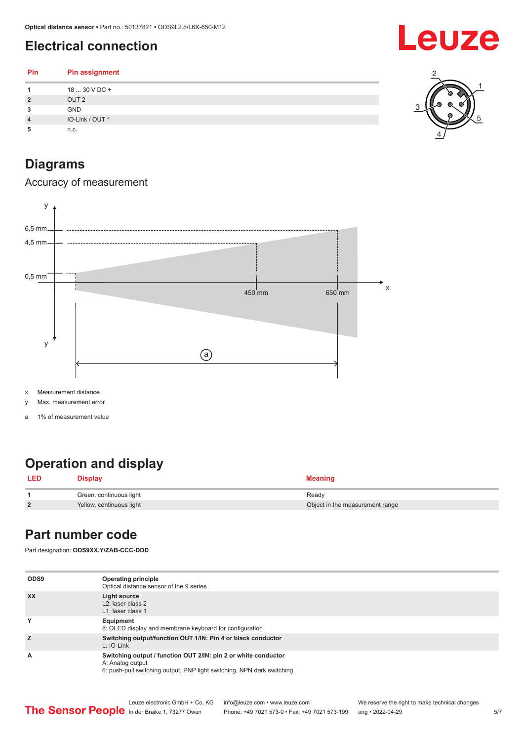### <span id="page-4-0"></span>**Electrical connection**

| <b>Pin</b>     | <b>Pin assignment</b> |
|----------------|-----------------------|
|                | 18  30 V DC +         |
| $\overline{2}$ | OUT <sub>2</sub>      |
| 3              | <b>GND</b>            |
| 4              | IO-Link / OUT 1       |
| 5              | n.c.                  |

#### 1 2 3 5

Leuze

4

### **Diagrams**

Accuracy of measurement



x Measurement distance

y Max. measurement error

a 1% of measurement value

### **Operation and display**

| LED            | <b>Display</b>           | <b>Meaning</b>                  |
|----------------|--------------------------|---------------------------------|
|                | Green, continuous light  | Ready                           |
| $\overline{2}$ | Yellow, continuous light | Object in the measurement range |

#### **Part number code**

Part designation: **ODS9XX.Y/ZAB-CCC-DDD**

| ODS <sub>9</sub> | <b>Operating principle</b><br>Optical distance sensor of the 9 series                                                                                        |
|------------------|--------------------------------------------------------------------------------------------------------------------------------------------------------------|
| <b>XX</b>        | Light source<br>L <sub>2</sub> : laser class 2<br>L1: laser class 1                                                                                          |
| Y                | Equipment<br>8: OLED display and membrane keyboard for configuration                                                                                         |
| Z                | Switching output/function OUT 1/IN: Pin 4 or black conductor<br>$L: IO-Link$                                                                                 |
| A                | Switching output / function OUT 2/IN: pin 2 or white conductor<br>A: Analog output<br>6: push-pull switching output, PNP light switching, NPN dark switching |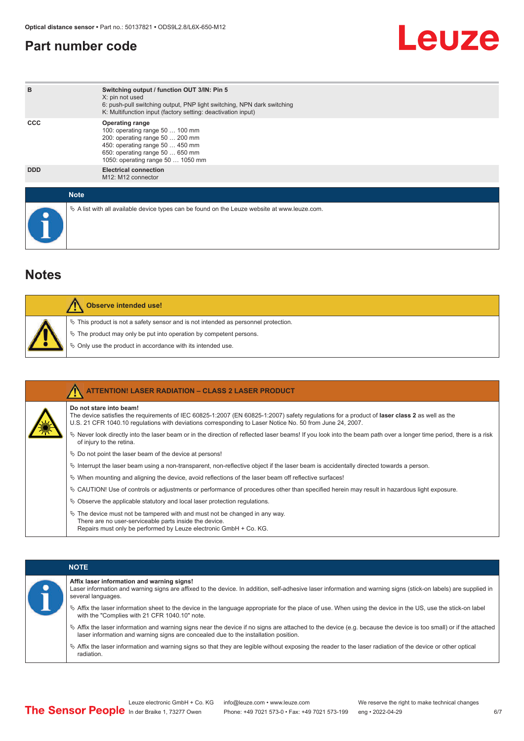#### <span id="page-5-0"></span>**Part number code**

# Leuze

| B           | Switching output / function OUT 3/IN: Pin 5<br>X: pin not used<br>6: push-pull switching output, PNP light switching, NPN dark switching<br>K: Multifunction input (factory setting: deactivation input) |
|-------------|----------------------------------------------------------------------------------------------------------------------------------------------------------------------------------------------------------|
| <b>CCC</b>  | <b>Operating range</b><br>100: operating range 50  100 mm<br>200: operating range 50  200 mm<br>450: operating range 50  450 mm<br>650: operating range 50  650 mm<br>1050: operating range 50  1050 mm  |
| <b>DDD</b>  | <b>Electrical connection</b><br>M12: M12 connector                                                                                                                                                       |
| <b>Note</b> |                                                                                                                                                                                                          |
|             | $\&$ A list with all available device types can be found on the Leuze website at www.leuze.com.                                                                                                          |

#### **Notes**

| <b>Observe intended use!</b>                                                                                                                                                                                                     |
|----------------------------------------------------------------------------------------------------------------------------------------------------------------------------------------------------------------------------------|
| $\%$ This product is not a safety sensor and is not intended as personnel protection.<br>$\%$ The product may only be put into operation by competent persons.<br>$\%$ Only use the product in accordance with its intended use. |

| <b>ATTENTION! LASER RADIATION - CLASS 2 LASER PRODUCT</b>                                                                                                                                                                                                                                  |
|--------------------------------------------------------------------------------------------------------------------------------------------------------------------------------------------------------------------------------------------------------------------------------------------|
| Do not stare into beam!<br>The device satisfies the requirements of IEC 60825-1:2007 (EN 60825-1:2007) safety requiations for a product of <b>laser class 2</b> as well as the<br>U.S. 21 CFR 1040.10 regulations with deviations corresponding to Laser Notice No. 50 from June 24, 2007. |
| Never look directly into the laser beam or in the direction of reflected laser beams! If you look into the beam path over a longer time period, there is a risk<br>of injury to the retina.                                                                                                |
| $\%$ Do not point the laser beam of the device at persons!                                                                                                                                                                                                                                 |
| $\%$ Interrupt the laser beam using a non-transparent, non-reflective object if the laser beam is accidentally directed towards a person.                                                                                                                                                  |
| $\%$ When mounting and aligning the device, avoid reflections of the laser beam off reflective surfaces!                                                                                                                                                                                   |
| $\&$ CAUTION! Use of controls or adjustments or performance of procedures other than specified herein may result in hazardous light exposure.                                                                                                                                              |
| $\%$ Observe the applicable statutory and local laser protection regulations.                                                                                                                                                                                                              |
| $\ddot{\varphi}$ The device must not be tampered with and must not be changed in any way.<br>There are no user-serviceable parts inside the device.<br>Repairs must only be performed by Leuze electronic GmbH + Co. KG.                                                                   |

|           | <b>NOTE</b>                                                                                                                                                                                                                                                |
|-----------|------------------------------------------------------------------------------------------------------------------------------------------------------------------------------------------------------------------------------------------------------------|
| $\bullet$ | Affix laser information and warning signs!<br>Laser information and warning signs are affixed to the device. In addition, self-adhesive laser information and warning signs (stick-on labels) are supplied in<br>several languages.                        |
|           | ↓ Affix the laser information sheet to the device in the language appropriate for the place of use. When using the device in the US, use the stick-on label<br>with the "Complies with 21 CFR 1040.10" note.                                               |
|           | $\&$ Affix the laser information and warning signs near the device if no signs are attached to the device (e.g. because the device is too small) or if the attached<br>laser information and warning signs are concealed due to the installation position. |
|           | $\&$ Affix the laser information and warning signs so that they are legible without exposing the reader to the laser radiation of the device or other optical<br>radiation.                                                                                |